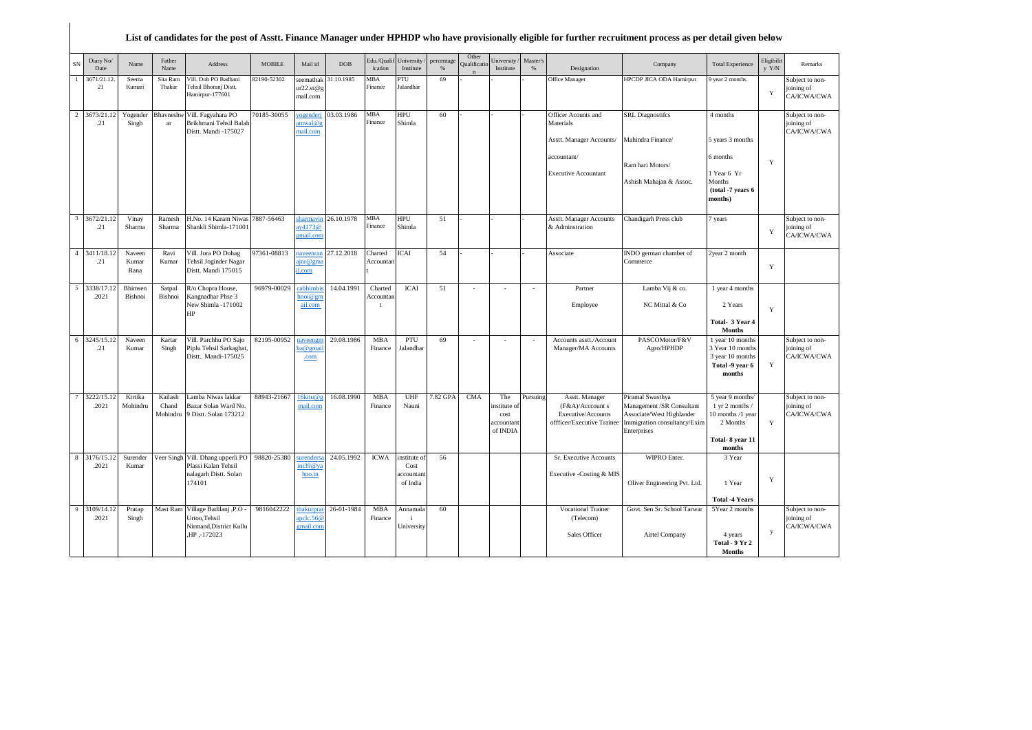## **List of candidates for the post of Asstt. Finance Manager under HPHDP who have provisionally eligible for further recruitment process as per detail given below**

| Diary No/<br>SN<br>Date             | Name                    | Father<br>Name               | Address                                                                    | <b>MOBILE</b> | Mail id                             | <b>DOB</b> | Edu./Qualit<br>ication | Jniversity<br>Institute | percentage<br>$\%$ | Other<br>Qualificatio | Jniversity/<br>Institute                             | Master's<br>% | Designation                                                                            | Company                                                                                                                   | <b>Total Experience</b>                                                                           | Eligibilit<br>y Y/N | Remarks                                      |
|-------------------------------------|-------------------------|------------------------------|----------------------------------------------------------------------------|---------------|-------------------------------------|------------|------------------------|-------------------------|--------------------|-----------------------|------------------------------------------------------|---------------|----------------------------------------------------------------------------------------|---------------------------------------------------------------------------------------------------------------------------|---------------------------------------------------------------------------------------------------|---------------------|----------------------------------------------|
| 3671/21.12<br>21                    | Seema<br>Kumari         | Sita Ram<br>Thakur           | Vill. Doh PO Badhani<br>Tehsil Bhoranj Distt.<br>Hamirpur-177601           | 2190-52302    | seemathak<br>ur22.st@g<br>mail.com  | 1.10.1985  | MBA<br>Finance         | PTU<br>Jalandhar        | 69                 |                       |                                                      |               | Office Manager                                                                         | HPCDP JICA ODA Hamirpur                                                                                                   | year 2 months                                                                                     | $\mathbf Y$         | Subject to non-<br>joining of<br>CA/ICWA/CWA |
| $\overline{2}$<br>3673/21.1<br>.21  | Yogender<br>Singh       | Bhavneshy<br>ar              | Vill. Fagyahara PO<br>Brikhmani Tehsil Balah<br>Distt. Mandi -175027       | 70185-30055   | ogenderi<br>imwal@g<br>mail.com     | 03.03.1986 | MBA<br>Finance         | <b>HPU</b><br>Shimla    | 60                 |                       |                                                      |               | Officer Acounts and<br>Materials<br>Asstt. Manager Accounts/                           | <b>SRL</b> Diagnostifcs<br>Mahindra Finance/                                                                              | 4 months<br>5 years 3 months                                                                      |                     | Subject to non-<br>joining of<br>CA/ICWA/CWA |
|                                     |                         |                              |                                                                            |               |                                     |            |                        |                         |                    |                       |                                                      |               | accountant/                                                                            |                                                                                                                           | 6 months                                                                                          | Y                   |                                              |
|                                     |                         |                              |                                                                            |               |                                     |            |                        |                         |                    |                       |                                                      |               | <b>Executive Accountant</b>                                                            | Ram hari Motors/<br>Ashish Mahajan & Assoc.                                                                               | 1 Year 6 Yr<br>Months<br>(total -7 years 6<br>months)                                             |                     |                                              |
| $\overline{3}$<br>3672/21.12<br>.21 | Vinay<br>Sharma         | Ramesh<br>Sharma             | H.No. 14 Karam Niwas<br>Shankli Shimla-171001                              | 7887-56463    | harmavir<br>iy4173@<br>mail.con     | 26.10.1978 | MBA<br>Finance         | HPU<br>Shimla           | 51                 |                       |                                                      |               | Asstt. Manager Accounts<br>& Adminstration                                             | Chandigarh Press club                                                                                                     | 7 years                                                                                           | Y                   | Subject to non-<br>oining of<br>CA/ICWA/CWA  |
| 4 3411/18.12<br>.21                 | Naveen<br>Kumar<br>Rana | Ravi<br>Kumar                | Vill. Jora PO Dohag<br><b>Tehsil Joginder Nagar</b><br>Distt. Mandi 175015 | 97361-08813   | naveenran<br>$\lim$ @ gma<br>il.com | 27.12.2018 | Charted<br>Accountan   | <b>ICAI</b>             | 54                 |                       |                                                      |               | Associate                                                                              | INDO german chamber of<br>Commerce                                                                                        | 2year 2 month                                                                                     | $\mathbf Y$         |                                              |
| 5<br>3338/17.1<br>.2021             | Bhimsen<br>Bishnoi      | Satpal<br>Bishnoi            | R/o Chopra House,<br>Kangnadhar Phse 3                                     | 96979-00029   | cabhimbis<br>$\text{moi@gm}$        | 14.04.1991 | Charted<br>Accountan   | <b>ICAI</b>             | 51                 |                       | ÷,                                                   | $\sim$        | Partner                                                                                | Lamba Vij & co.                                                                                                           | 1 year 4 months                                                                                   |                     |                                              |
|                                     |                         |                              | New Shimla -171002<br>HP                                                   |               | ail.com                             |            |                        |                         |                    |                       |                                                      |               | Employee                                                                               | NC Mittal & Co                                                                                                            | 2 Years<br>Total- 3 Year 4<br>Months                                                              | $\mathbf Y$         |                                              |
| 6<br>3245/15.12<br>.21              | Naveen<br>Kumar         | Kartar<br>Singh              | Vill. Parchhu PO Sajo<br>Piplu Tehsil Sarkaghat<br>Distt., Mandi-175025    | 82195-00952   | aveengm<br>a@gmai<br>.com           | 29.08.1986 | <b>MBA</b><br>Finance  | PTU<br>Jalandhar        | 69                 |                       | ÷                                                    | ÷,            | Accounts asstt./Account<br>Manager/MA Accounts                                         | PASCOMotor/F&V<br>Agro/HPHDP                                                                                              | 1 year 10 months<br>3 Year 10 months<br>3 year 10 months<br>Total -9 year 6<br>months             | Y                   | Subject to non-<br>joining of<br>CA/ICWA/CWA |
| 3222/15.<br>.2021                   | Kirtika<br>Mohindru     | Kailash<br>Chand<br>Mohindru | Lamba Niwas lakkar<br>Bazar Solan Ward No.<br>9 Distt. Solan 173212        | 88943-21667   | 16kitu@g<br>mail.com                | 16.08.1990 | <b>MBA</b><br>Finance  | UHF<br>Nauni            | 7.82 GPA           | <b>CMA</b>            | The<br>nstitute of<br>cost<br>accountant<br>of INDIA | Pursuing      | Asstt. Manager<br>(F&A)/Acccount s<br>Executive/Accounts<br>offficer/Executive Trainee | Piramal Swasthya<br>Management /SR Consultant<br>Associate/West Highlander<br>Immigration consultancy/Exim<br>Enterprises | 5 year 9 months/<br>1 yr 2 months /<br>10 months /1 year<br>2 Months<br>Total-8 year 11<br>months | Y                   | Subject to non-<br>joining of<br>CA/ICWA/CWA |
| 8<br>3176/15.12<br>.2021            | Surender<br>Kumar       |                              | Veer Singh Vill. Dhang upperli PO<br>Plassi Kalan Tehsil                   | 98820-25380   | urenders<br>ni39@v3                 | 24.05.1992 | <b>ICWA</b>            | institute of<br>Cost    | 56                 |                       |                                                      |               | Sr. Executive Accounts                                                                 | WIPRO Enter.                                                                                                              | 3 Year                                                                                            |                     |                                              |
|                                     |                         |                              | nalagarh Distt. Solan<br>174101                                            |               | hoo.in                              |            |                        | accountant<br>of India  |                    |                       |                                                      |               | Executive -Costing & MIS                                                               | Oliver Engineering Pvt. Ltd.                                                                                              | 1 Year                                                                                            | $\mathbf Y$         |                                              |
| 9<br>3109/14.12                     | Pratap                  | Mast Ram                     | Village Badilanj , P.O                                                     | 9816042222    | hakurprat                           | 26-01-1984 | <b>MBA</b>             | Annamala                | 60                 |                       |                                                      |               | <b>Vocational Trainer</b>                                                              | Govt. Sen Sr. School Tarwar                                                                                               | <b>Total -4 Years</b><br>5Year 2 months                                                           |                     | Subject to non-                              |
| .2021                               | Singh                   |                              | Urtoo.Tehsil<br>Nirmand, District Kullu<br>HP,-172023                      |               | nclc.56@<br>mail.com                |            | Finance                | ÷<br>University         |                    |                       |                                                      |               | (Telecom)<br>Sales Officer                                                             | Airtel Company                                                                                                            | 4 years<br>Total - 9 Yr 2<br><b>Months</b>                                                        | у                   | joining of<br>CA/ICWA/CWA                    |